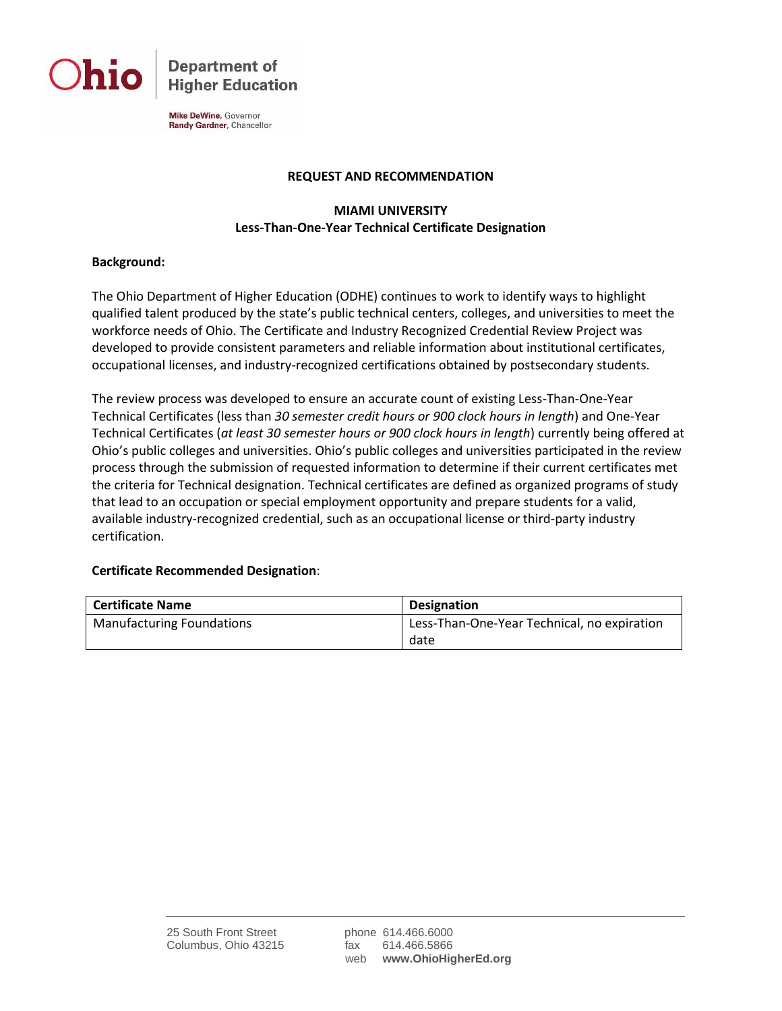

**Department of Higher Education** 

Mike DeWine, Governor Randy Gardner, Chancellor

#### **REQUEST AND RECOMMENDATION**

### **MIAMI UNIVERSITY Less-Than-One-Year Technical Certificate Designation**

#### **Background:**

The Ohio Department of Higher Education (ODHE) continues to work to identify ways to highlight qualified talent produced by the state's public technical centers, colleges, and universities to meet the workforce needs of Ohio. The Certificate and Industry Recognized Credential Review Project was developed to provide consistent parameters and reliable information about institutional certificates, occupational licenses, and industry-recognized certifications obtained by postsecondary students.

The review process was developed to ensure an accurate count of existing Less-Than-One-Year Technical Certificates (less than *30 semester credit hours or 900 clock hours in length*) and One-Year Technical Certificates (*at least 30 semester hours or 900 clock hours in length*) currently being offered at Ohio's public colleges and universities. Ohio's public colleges and universities participated in the review process through the submission of requested information to determine if their current certificates met the criteria for Technical designation. Technical certificates are defined as organized programs of study that lead to an occupation or special employment opportunity and prepare students for a valid, available industry-recognized credential, such as an occupational license or third-party industry certification.

#### **Certificate Recommended Designation**:

| <b>Certificate Name</b>          | <b>Designation</b>                          |
|----------------------------------|---------------------------------------------|
| <b>Manufacturing Foundations</b> | Less-Than-One-Year Technical, no expiration |
|                                  | date                                        |